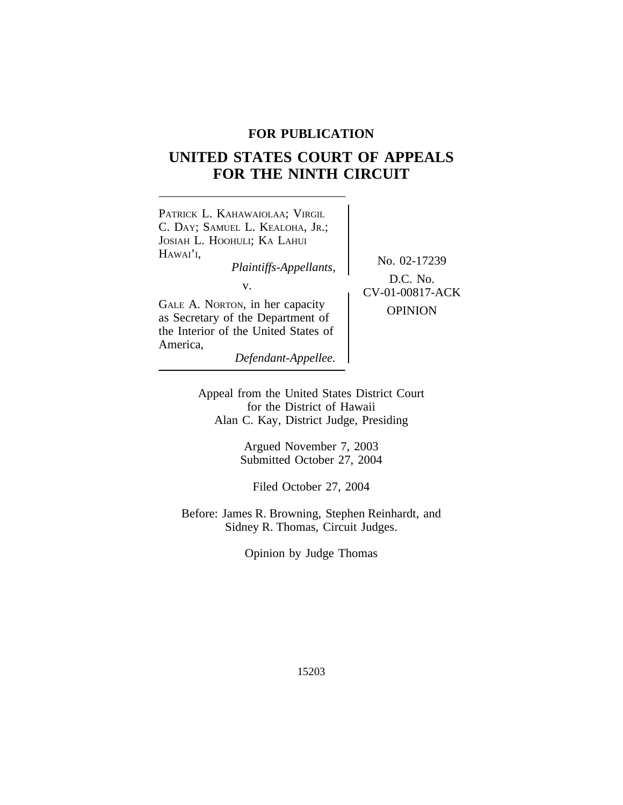## **FOR PUBLICATION**

# **UNITED STATES COURT OF APPEALS FOR THE NINTH CIRCUIT**



Appeal from the United States District Court for the District of Hawaii Alan C. Kay, District Judge, Presiding

> Argued November 7, 2003 Submitted October 27, 2004

Filed October 27, 2004

Before: James R. Browning, Stephen Reinhardt, and Sidney R. Thomas, Circuit Judges.

Opinion by Judge Thomas

15203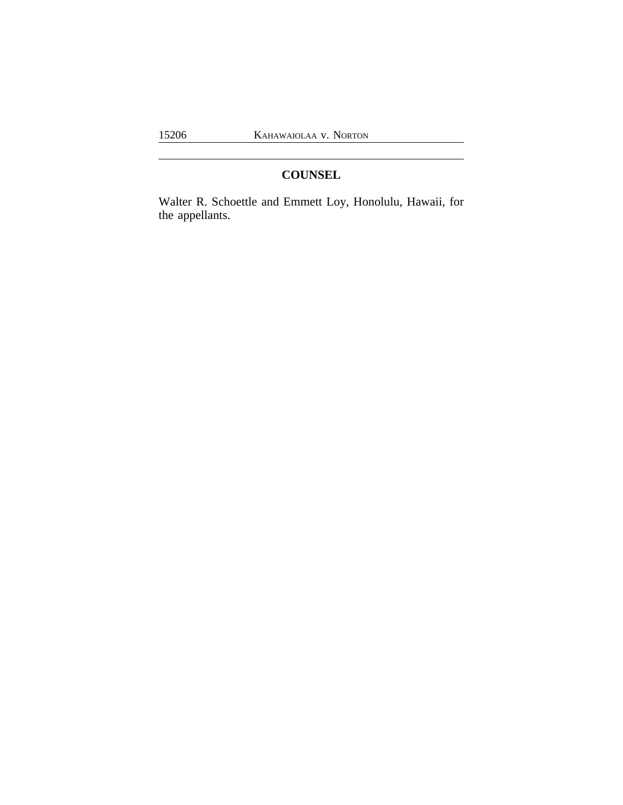## **COUNSEL**

Walter R. Schoettle and Emmett Loy, Honolulu, Hawaii, for the appellants.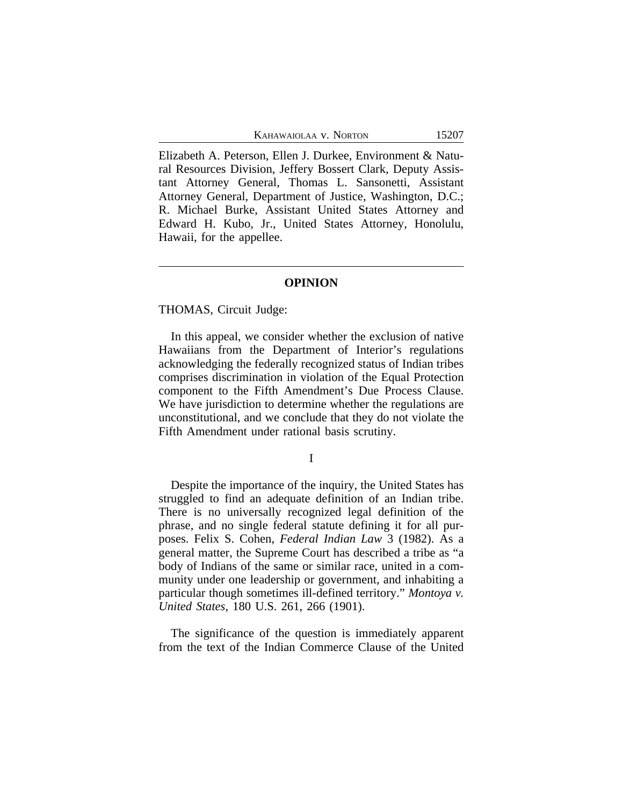Elizabeth A. Peterson, Ellen J. Durkee, Environment & Natural Resources Division, Jeffery Bossert Clark, Deputy Assistant Attorney General, Thomas L. Sansonetti, Assistant Attorney General, Department of Justice, Washington, D.C.; R. Michael Burke, Assistant United States Attorney and Edward H. Kubo, Jr., United States Attorney, Honolulu, Hawaii, for the appellee.

#### **OPINION**

#### THOMAS, Circuit Judge:

In this appeal, we consider whether the exclusion of native Hawaiians from the Department of Interior's regulations acknowledging the federally recognized status of Indian tribes comprises discrimination in violation of the Equal Protection component to the Fifth Amendment's Due Process Clause. We have jurisdiction to determine whether the regulations are unconstitutional, and we conclude that they do not violate the Fifth Amendment under rational basis scrutiny.

I

Despite the importance of the inquiry, the United States has struggled to find an adequate definition of an Indian tribe. There is no universally recognized legal definition of the phrase, and no single federal statute defining it for all purposes. Felix S. Cohen, *Federal Indian Law* 3 (1982). As a general matter, the Supreme Court has described a tribe as "a body of Indians of the same or similar race, united in a community under one leadership or government, and inhabiting a particular though sometimes ill-defined territory." *Montoya v. United States*, 180 U.S. 261, 266 (1901).

The significance of the question is immediately apparent from the text of the Indian Commerce Clause of the United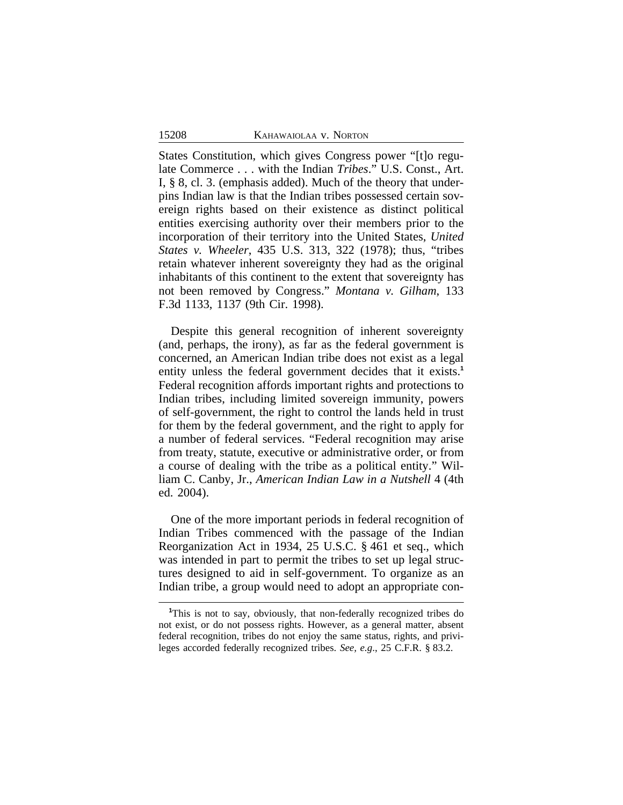States Constitution, which gives Congress power "[t]o regulate Commerce . . . with the Indian *Tribes*." U.S. Const., Art. I, § 8, cl. 3. (emphasis added). Much of the theory that underpins Indian law is that the Indian tribes possessed certain sovereign rights based on their existence as distinct political entities exercising authority over their members prior to the incorporation of their territory into the United States, *United States v. Wheeler*, 435 U.S. 313, 322 (1978); thus, "tribes retain whatever inherent sovereignty they had as the original inhabitants of this continent to the extent that sovereignty has not been removed by Congress." *Montana v. Gilham*, 133 F.3d 1133, 1137 (9th Cir. 1998).

Despite this general recognition of inherent sovereignty (and, perhaps, the irony), as far as the federal government is concerned, an American Indian tribe does not exist as a legal entity unless the federal government decides that it exists.<sup>1</sup> Federal recognition affords important rights and protections to Indian tribes, including limited sovereign immunity, powers of self-government, the right to control the lands held in trust for them by the federal government, and the right to apply for a number of federal services. "Federal recognition may arise from treaty, statute, executive or administrative order, or from a course of dealing with the tribe as a political entity." William C. Canby, Jr., *American Indian Law in a Nutshell* 4 (4th ed. 2004).

One of the more important periods in federal recognition of Indian Tribes commenced with the passage of the Indian Reorganization Act in 1934, 25 U.S.C. § 461 et seq., which was intended in part to permit the tribes to set up legal structures designed to aid in self-government. To organize as an Indian tribe, a group would need to adopt an appropriate con-

<sup>&</sup>lt;sup>1</sup>This is not to say, obviously, that non-federally recognized tribes do not exist, or do not possess rights. However, as a general matter, absent federal recognition, tribes do not enjoy the same status, rights, and privileges accorded federally recognized tribes. *See, e.g*., 25 C.F.R. § 83.2.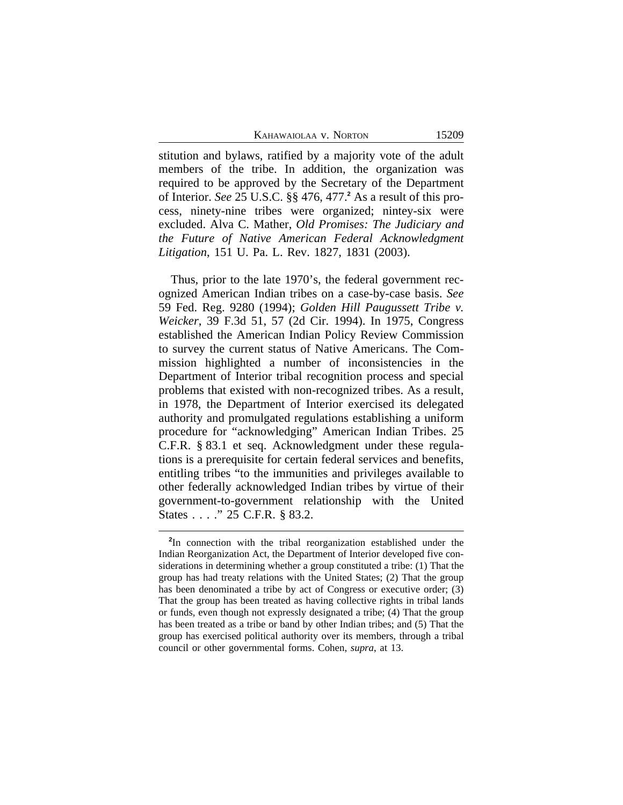stitution and bylaws, ratified by a majority vote of the adult members of the tribe. In addition, the organization was required to be approved by the Secretary of the Department of Interior. *See* 25 U.S.C. §§ 476, 477.**<sup>2</sup>** As a result of this process, ninety-nine tribes were organized; nintey-six were excluded. Alva C. Mather, *Old Promises: The Judiciary and the Future of Native American Federal Acknowledgment Litigation*, 151 U. Pa. L. Rev. 1827, 1831 (2003).

Thus, prior to the late 1970's, the federal government recognized American Indian tribes on a case-by-case basis. *See* 59 Fed. Reg. 9280 (1994); *Golden Hill Paugussett Tribe v. Weicker*, 39 F.3d 51, 57 (2d Cir. 1994). In 1975, Congress established the American Indian Policy Review Commission to survey the current status of Native Americans. The Commission highlighted a number of inconsistencies in the Department of Interior tribal recognition process and special problems that existed with non-recognized tribes. As a result, in 1978, the Department of Interior exercised its delegated authority and promulgated regulations establishing a uniform procedure for "acknowledging" American Indian Tribes. 25 C.F.R. § 83.1 et seq. Acknowledgment under these regulations is a prerequisite for certain federal services and benefits, entitling tribes "to the immunities and privileges available to other federally acknowledged Indian tribes by virtue of their government-to-government relationship with the United States . . . ." 25 C.F.R. § 83.2.

**<sup>2</sup>** In connection with the tribal reorganization established under the Indian Reorganization Act, the Department of Interior developed five considerations in determining whether a group constituted a tribe: (1) That the group has had treaty relations with the United States; (2) That the group has been denominated a tribe by act of Congress or executive order; (3) That the group has been treated as having collective rights in tribal lands or funds, even though not expressly designated a tribe; (4) That the group has been treated as a tribe or band by other Indian tribes; and (5) That the group has exercised political authority over its members, through a tribal council or other governmental forms. Cohen, *supra*, at 13.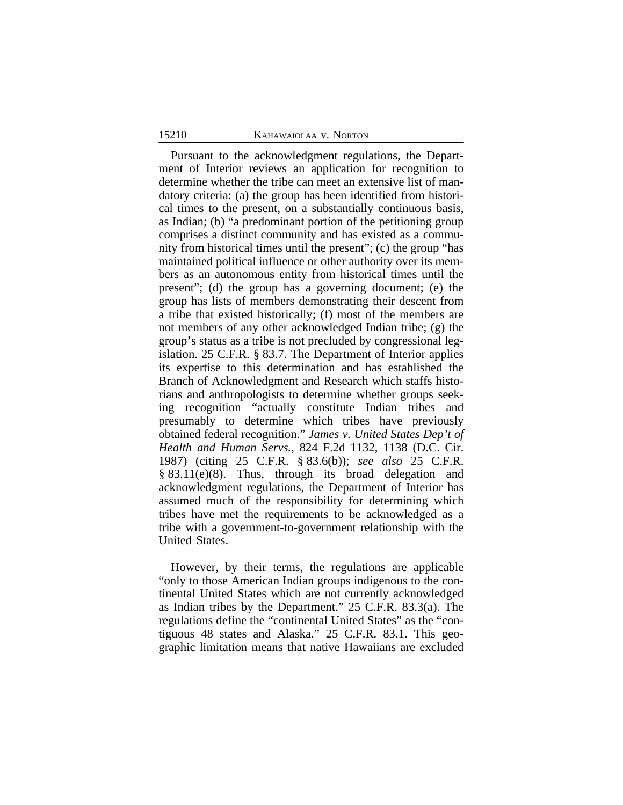Pursuant to the acknowledgment regulations, the Department of Interior reviews an application for recognition to determine whether the tribe can meet an extensive list of mandatory criteria: (a) the group has been identified from historical times to the present, on a substantially continuous basis, as Indian; (b) "a predominant portion of the petitioning group comprises a distinct community and has existed as a community from historical times until the present"; (c) the group "has maintained political influence or other authority over its members as an autonomous entity from historical times until the present"; (d) the group has a governing document; (e) the group has lists of members demonstrating their descent from a tribe that existed historically; (f) most of the members are not members of any other acknowledged Indian tribe; (g) the group's status as a tribe is not precluded by congressional legislation. 25 C.F.R. § 83.7. The Department of Interior applies its expertise to this determination and has established the Branch of Acknowledgment and Research which staffs historians and anthropologists to determine whether groups seeking recognition "actually constitute Indian tribes and presumably to determine which tribes have previously obtained federal recognition." *James v. United States Dep't of Health and Human Servs.*, 824 F.2d 1132, 1138 (D.C. Cir. 1987) (citing 25 C.F.R. § 83.6(b)); *see also* 25 C.F.R. § 83.11(e)(8). Thus, through its broad delegation and acknowledgment regulations, the Department of Interior has assumed much of the responsibility for determining which tribes have met the requirements to be acknowledged as a tribe with a government-to-government relationship with the United States.

However, by their terms, the regulations are applicable "only to those American Indian groups indigenous to the continental United States which are not currently acknowledged as Indian tribes by the Department." 25 C.F.R. 83.3(a). The regulations define the "continental United States" as the "contiguous 48 states and Alaska." 25 C.F.R. 83.1. This geographic limitation means that native Hawaiians are excluded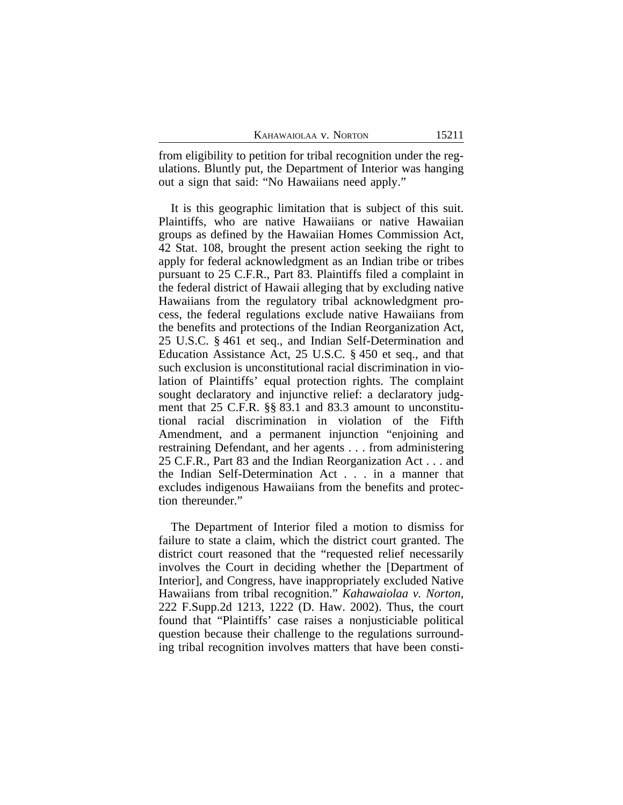from eligibility to petition for tribal recognition under the regulations. Bluntly put, the Department of Interior was hanging out a sign that said: "No Hawaiians need apply."

It is this geographic limitation that is subject of this suit. Plaintiffs, who are native Hawaiians or native Hawaiian groups as defined by the Hawaiian Homes Commission Act, 42 Stat. 108, brought the present action seeking the right to apply for federal acknowledgment as an Indian tribe or tribes pursuant to 25 C.F.R., Part 83. Plaintiffs filed a complaint in the federal district of Hawaii alleging that by excluding native Hawaiians from the regulatory tribal acknowledgment process, the federal regulations exclude native Hawaiians from the benefits and protections of the Indian Reorganization Act, 25 U.S.C. § 461 et seq., and Indian Self-Determination and Education Assistance Act, 25 U.S.C. § 450 et seq., and that such exclusion is unconstitutional racial discrimination in violation of Plaintiffs' equal protection rights. The complaint sought declaratory and injunctive relief: a declaratory judgment that 25 C.F.R. §§ 83.1 and 83.3 amount to unconstitutional racial discrimination in violation of the Fifth Amendment, and a permanent injunction "enjoining and restraining Defendant, and her agents . . . from administering 25 C.F.R., Part 83 and the Indian Reorganization Act . . . and the Indian Self-Determination Act . . . in a manner that excludes indigenous Hawaiians from the benefits and protection thereunder."

The Department of Interior filed a motion to dismiss for failure to state a claim, which the district court granted. The district court reasoned that the "requested relief necessarily involves the Court in deciding whether the [Department of Interior], and Congress, have inappropriately excluded Native Hawaiians from tribal recognition." *Kahawaiolaa v. Norton*, 222 F.Supp.2d 1213, 1222 (D. Haw. 2002). Thus, the court found that "Plaintiffs' case raises a nonjusticiable political question because their challenge to the regulations surrounding tribal recognition involves matters that have been consti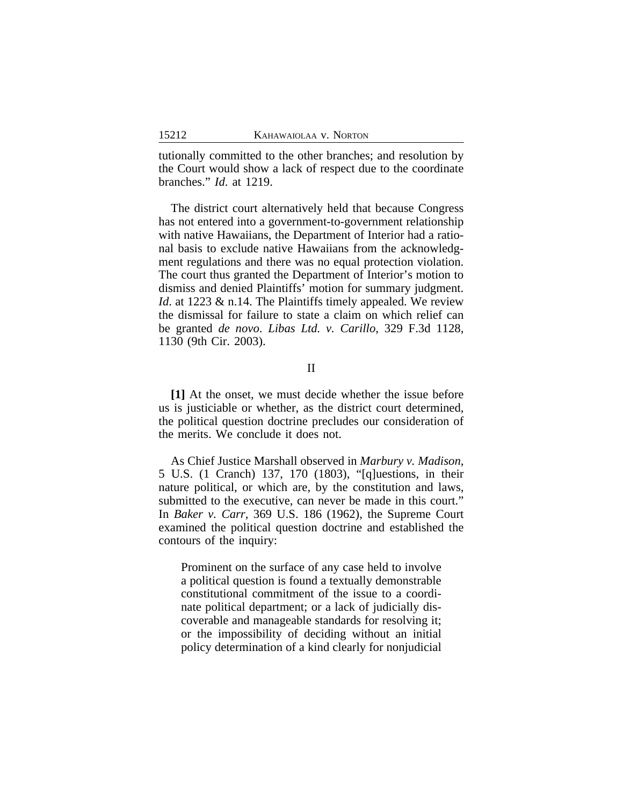tutionally committed to the other branches; and resolution by the Court would show a lack of respect due to the coordinate branches." *Id*. at 1219.

The district court alternatively held that because Congress has not entered into a government-to-government relationship with native Hawaiians, the Department of Interior had a rational basis to exclude native Hawaiians from the acknowledgment regulations and there was no equal protection violation. The court thus granted the Department of Interior's motion to dismiss and denied Plaintiffs' motion for summary judgment. *Id.* at 1223 & n.14. The Plaintiffs timely appealed. We review the dismissal for failure to state a claim on which relief can be granted *de novo*. *Libas Ltd. v. Carillo*, 329 F.3d 1128, 1130 (9th Cir. 2003).

### II

**[1]** At the onset, we must decide whether the issue before us is justiciable or whether, as the district court determined, the political question doctrine precludes our consideration of the merits. We conclude it does not.

As Chief Justice Marshall observed in *Marbury v. Madison*, 5 U.S. (1 Cranch) 137, 170 (1803), "[q]uestions, in their nature political, or which are, by the constitution and laws, submitted to the executive, can never be made in this court." In *Baker v. Carr*, 369 U.S. 186 (1962), the Supreme Court examined the political question doctrine and established the contours of the inquiry:

Prominent on the surface of any case held to involve a political question is found a textually demonstrable constitutional commitment of the issue to a coordinate political department; or a lack of judicially discoverable and manageable standards for resolving it; or the impossibility of deciding without an initial policy determination of a kind clearly for nonjudicial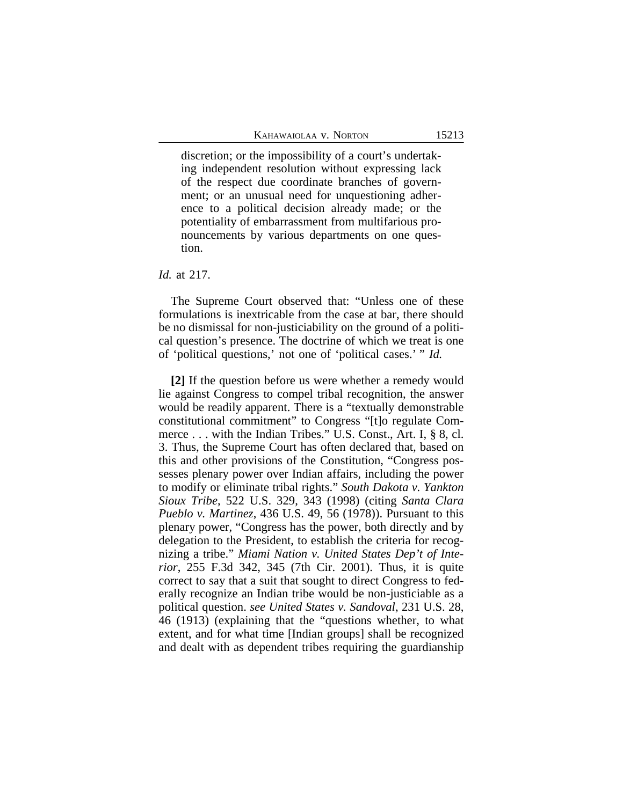discretion; or the impossibility of a court's undertaking independent resolution without expressing lack of the respect due coordinate branches of government; or an unusual need for unquestioning adherence to a political decision already made; or the potentiality of embarrassment from multifarious pronouncements by various departments on one question.

*Id.* at 217.

The Supreme Court observed that: "Unless one of these formulations is inextricable from the case at bar, there should be no dismissal for non-justiciability on the ground of a political question's presence. The doctrine of which we treat is one of 'political questions,' not one of 'political cases.' " *Id.*

**[2]** If the question before us were whether a remedy would lie against Congress to compel tribal recognition, the answer would be readily apparent. There is a "textually demonstrable constitutional commitment" to Congress "[t]o regulate Commerce . . . with the Indian Tribes." U.S. Const., Art. I, § 8, cl. 3. Thus, the Supreme Court has often declared that, based on this and other provisions of the Constitution, "Congress possesses plenary power over Indian affairs, including the power to modify or eliminate tribal rights." *South Dakota v. Yankton Sioux Tribe*, 522 U.S. 329, 343 (1998) (citing *Santa Clara Pueblo v. Martinez*, 436 U.S. 49, 56 (1978)). Pursuant to this plenary power, "Congress has the power, both directly and by delegation to the President, to establish the criteria for recognizing a tribe." *Miami Nation v. United States Dep't of Interior*, 255 F.3d 342, 345 (7th Cir. 2001). Thus, it is quite correct to say that a suit that sought to direct Congress to federally recognize an Indian tribe would be non-justiciable as a political question. *see United States v. Sandoval*, 231 U.S. 28, 46 (1913) (explaining that the "questions whether, to what extent, and for what time [Indian groups] shall be recognized and dealt with as dependent tribes requiring the guardianship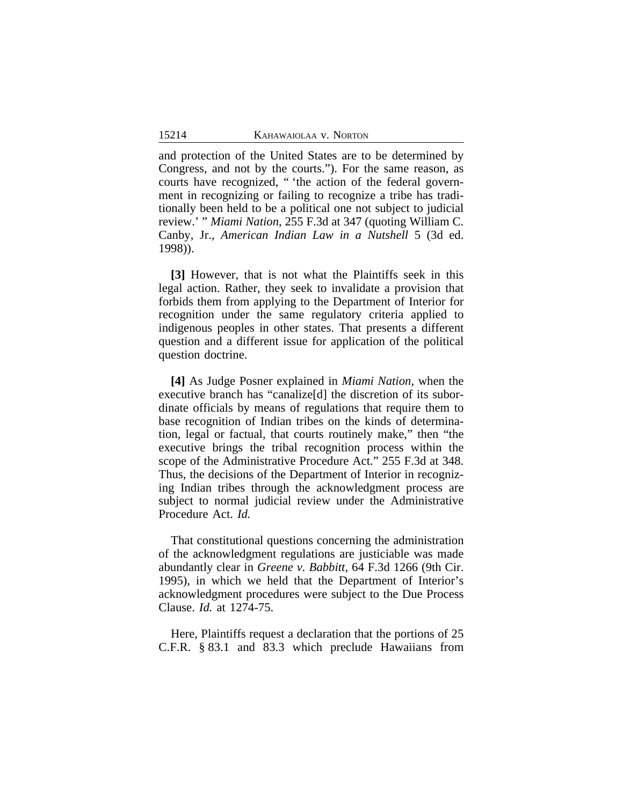and protection of the United States are to be determined by Congress, and not by the courts."). For the same reason, as courts have recognized, " 'the action of the federal government in recognizing or failing to recognize a tribe has traditionally been held to be a political one not subject to judicial review.' " *Miami Nation*, 255 F.3d at 347 (quoting William C. Canby, Jr., *American Indian Law in a Nutshell* 5 (3d ed. 1998)).

**[3]** However, that is not what the Plaintiffs seek in this legal action. Rather, they seek to invalidate a provision that forbids them from applying to the Department of Interior for recognition under the same regulatory criteria applied to indigenous peoples in other states. That presents a different question and a different issue for application of the political question doctrine.

**[4]** As Judge Posner explained in *Miami Nation*, when the executive branch has "canalize[d] the discretion of its subordinate officials by means of regulations that require them to base recognition of Indian tribes on the kinds of determination, legal or factual, that courts routinely make," then "the executive brings the tribal recognition process within the scope of the Administrative Procedure Act." 255 F.3d at 348. Thus, the decisions of the Department of Interior in recognizing Indian tribes through the acknowledgment process are subject to normal judicial review under the Administrative Procedure Act. *Id.*

That constitutional questions concerning the administration of the acknowledgment regulations are justiciable was made abundantly clear in *Greene v. Babbitt*, 64 F.3d 1266 (9th Cir. 1995), in which we held that the Department of Interior's acknowledgment procedures were subject to the Due Process Clause. *Id.* at 1274-75.

Here, Plaintiffs request a declaration that the portions of 25 C.F.R. § 83.1 and 83.3 which preclude Hawaiians from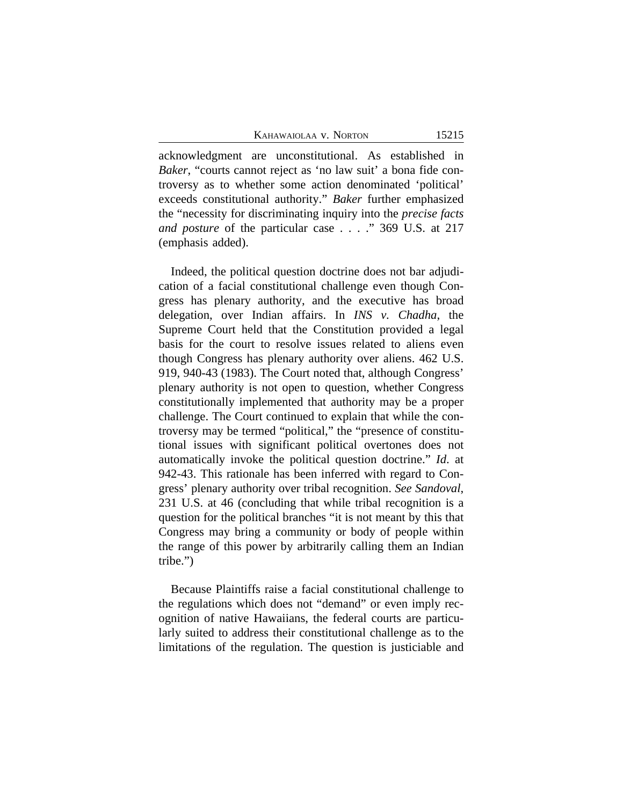acknowledgment are unconstitutional. As established in *Baker*, "courts cannot reject as 'no law suit' a bona fide controversy as to whether some action denominated 'political' exceeds constitutional authority." *Baker* further emphasized the "necessity for discriminating inquiry into the *precise facts and posture* of the particular case . . . ." 369 U.S. at 217 (emphasis added).

Indeed, the political question doctrine does not bar adjudication of a facial constitutional challenge even though Congress has plenary authority, and the executive has broad delegation, over Indian affairs. In *INS v. Chadha*, the Supreme Court held that the Constitution provided a legal basis for the court to resolve issues related to aliens even though Congress has plenary authority over aliens. 462 U.S. 919, 940-43 (1983). The Court noted that, although Congress' plenary authority is not open to question, whether Congress constitutionally implemented that authority may be a proper challenge. The Court continued to explain that while the controversy may be termed "political," the "presence of constitutional issues with significant political overtones does not automatically invoke the political question doctrine." *Id*. at 942-43. This rationale has been inferred with regard to Congress' plenary authority over tribal recognition. *See Sandoval*, 231 U.S. at 46 (concluding that while tribal recognition is a question for the political branches "it is not meant by this that Congress may bring a community or body of people within the range of this power by arbitrarily calling them an Indian tribe.")

Because Plaintiffs raise a facial constitutional challenge to the regulations which does not "demand" or even imply recognition of native Hawaiians, the federal courts are particularly suited to address their constitutional challenge as to the limitations of the regulation. The question is justiciable and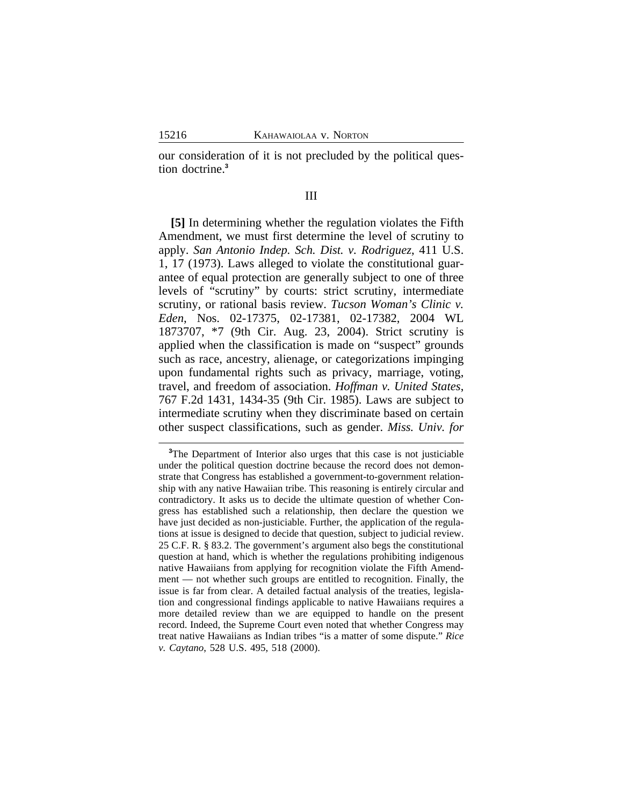our consideration of it is not precluded by the political question doctrine.**<sup>3</sup>**

### III

**[5]** In determining whether the regulation violates the Fifth Amendment, we must first determine the level of scrutiny to apply. *San Antonio Indep. Sch. Dist. v. Rodriguez*, 411 U.S. 1, 17 (1973). Laws alleged to violate the constitutional guarantee of equal protection are generally subject to one of three levels of "scrutiny" by courts: strict scrutiny, intermediate scrutiny, or rational basis review. *Tucson Woman's Clinic v. Eden*, Nos. 02-17375, 02-17381, 02-17382, 2004 WL 1873707, \*7 (9th Cir. Aug. 23, 2004). Strict scrutiny is applied when the classification is made on "suspect" grounds such as race, ancestry, alienage, or categorizations impinging upon fundamental rights such as privacy, marriage, voting, travel, and freedom of association. *Hoffman v. United States*, 767 F.2d 1431, 1434-35 (9th Cir. 1985). Laws are subject to intermediate scrutiny when they discriminate based on certain other suspect classifications, such as gender. *Miss. Univ. for*

**<sup>3</sup>**The Department of Interior also urges that this case is not justiciable under the political question doctrine because the record does not demonstrate that Congress has established a government-to-government relationship with any native Hawaiian tribe. This reasoning is entirely circular and contradictory. It asks us to decide the ultimate question of whether Congress has established such a relationship, then declare the question we have just decided as non-justiciable. Further, the application of the regulations at issue is designed to decide that question, subject to judicial review. 25 C.F. R. § 83.2. The government's argument also begs the constitutional question at hand, which is whether the regulations prohibiting indigenous native Hawaiians from applying for recognition violate the Fifth Amendment — not whether such groups are entitled to recognition. Finally, the issue is far from clear. A detailed factual analysis of the treaties, legislation and congressional findings applicable to native Hawaiians requires a more detailed review than we are equipped to handle on the present record. Indeed, the Supreme Court even noted that whether Congress may treat native Hawaiians as Indian tribes "is a matter of some dispute." *Rice v. Caytano*, 528 U.S. 495, 518 (2000).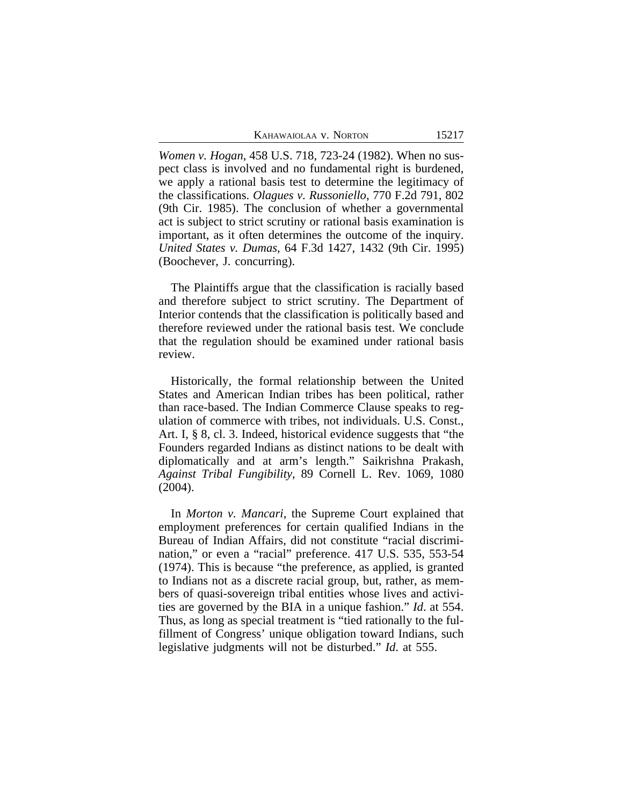*Women v. Hogan*, 458 U.S. 718, 723-24 (1982). When no suspect class is involved and no fundamental right is burdened, we apply a rational basis test to determine the legitimacy of the classifications. *Olagues v. Russoniello*, 770 F.2d 791, 802 (9th Cir. 1985). The conclusion of whether a governmental act is subject to strict scrutiny or rational basis examination is important, as it often determines the outcome of the inquiry. *United States v. Dumas*, 64 F.3d 1427, 1432 (9th Cir. 1995) (Boochever, J. concurring).

The Plaintiffs argue that the classification is racially based and therefore subject to strict scrutiny. The Department of Interior contends that the classification is politically based and therefore reviewed under the rational basis test. We conclude that the regulation should be examined under rational basis review.

Historically, the formal relationship between the United States and American Indian tribes has been political, rather than race-based. The Indian Commerce Clause speaks to regulation of commerce with tribes, not individuals. U.S. Const., Art. I, § 8, cl. 3. Indeed, historical evidence suggests that "the Founders regarded Indians as distinct nations to be dealt with diplomatically and at arm's length." Saikrishna Prakash, *Against Tribal Fungibility*, 89 Cornell L. Rev. 1069, 1080 (2004).

In *Morton v. Mancari*, the Supreme Court explained that employment preferences for certain qualified Indians in the Bureau of Indian Affairs, did not constitute "racial discrimination," or even a "racial" preference. 417 U.S. 535, 553-54 (1974). This is because "the preference, as applied, is granted to Indians not as a discrete racial group, but, rather, as members of quasi-sovereign tribal entities whose lives and activities are governed by the BIA in a unique fashion." *Id*. at 554. Thus, as long as special treatment is "tied rationally to the fulfillment of Congress' unique obligation toward Indians, such legislative judgments will not be disturbed." *Id*. at 555.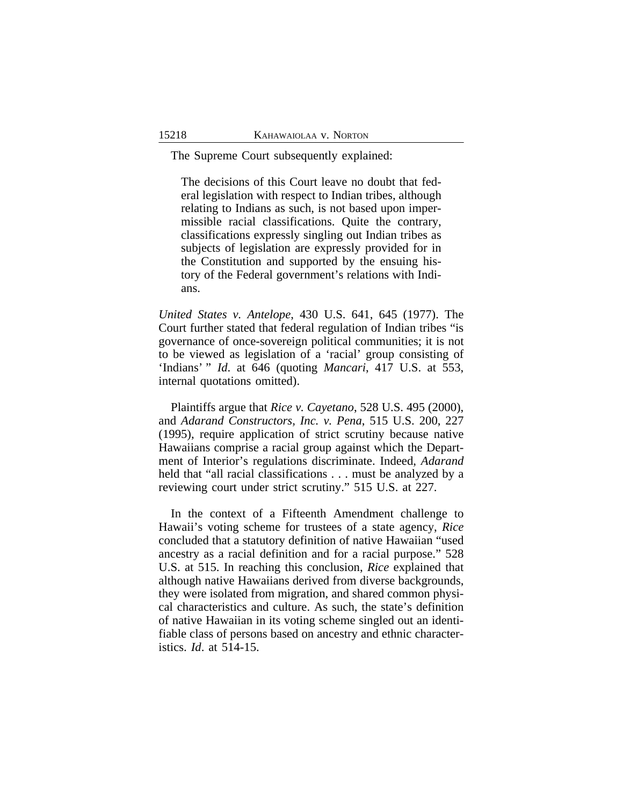The Supreme Court subsequently explained:

The decisions of this Court leave no doubt that federal legislation with respect to Indian tribes, although relating to Indians as such, is not based upon impermissible racial classifications. Quite the contrary, classifications expressly singling out Indian tribes as subjects of legislation are expressly provided for in the Constitution and supported by the ensuing history of the Federal government's relations with Indians.

*United States v. Antelope*, 430 U.S. 641, 645 (1977). The Court further stated that federal regulation of Indian tribes "is governance of once-sovereign political communities; it is not to be viewed as legislation of a 'racial' group consisting of 'Indians' " *Id*. at 646 (quoting *Mancari*, 417 U.S. at 553, internal quotations omitted).

Plaintiffs argue that *Rice v. Cayetano*, 528 U.S. 495 (2000), and *Adarand Constructors, Inc. v. Pena*, 515 U.S. 200, 227 (1995), require application of strict scrutiny because native Hawaiians comprise a racial group against which the Department of Interior's regulations discriminate. Indeed, *Adarand* held that "all racial classifications . . . must be analyzed by a reviewing court under strict scrutiny." 515 U.S. at 227.

In the context of a Fifteenth Amendment challenge to Hawaii's voting scheme for trustees of a state agency, *Rice* concluded that a statutory definition of native Hawaiian "used ancestry as a racial definition and for a racial purpose." 528 U.S. at 515. In reaching this conclusion, *Rice* explained that although native Hawaiians derived from diverse backgrounds, they were isolated from migration, and shared common physical characteristics and culture. As such, the state's definition of native Hawaiian in its voting scheme singled out an identifiable class of persons based on ancestry and ethnic characteristics. *Id*. at 514-15.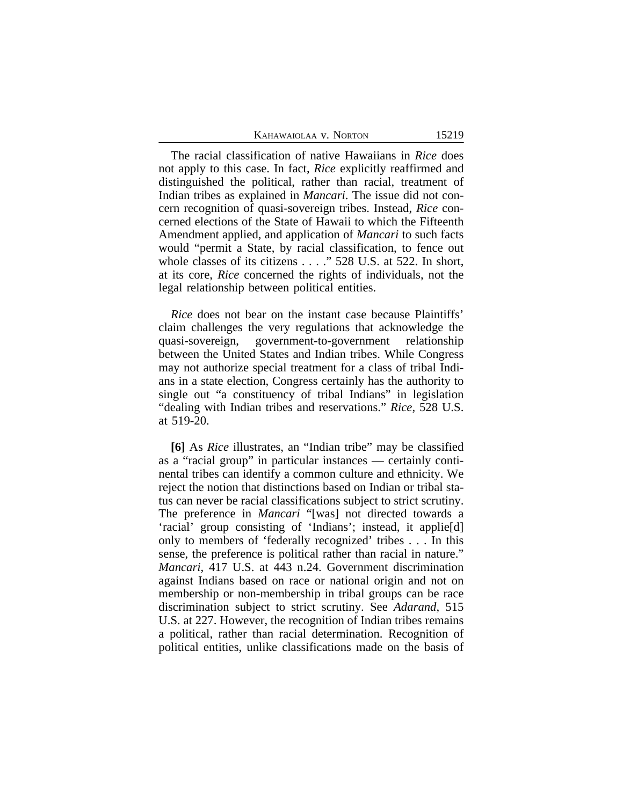The racial classification of native Hawaiians in *Rice* does not apply to this case. In fact, *Rice* explicitly reaffirmed and distinguished the political, rather than racial, treatment of Indian tribes as explained in *Mancari*. The issue did not concern recognition of quasi-sovereign tribes. Instead, *Rice* concerned elections of the State of Hawaii to which the Fifteenth Amendment applied, and application of *Mancari* to such facts would "permit a State, by racial classification, to fence out whole classes of its citizens . . . ." 528 U.S. at 522. In short, at its core, *Rice* concerned the rights of individuals, not the legal relationship between political entities.

*Rice* does not bear on the instant case because Plaintiffs' claim challenges the very regulations that acknowledge the quasi-sovereign, government-to-government relationship between the United States and Indian tribes. While Congress may not authorize special treatment for a class of tribal Indians in a state election, Congress certainly has the authority to single out "a constituency of tribal Indians" in legislation "dealing with Indian tribes and reservations." *Rice*, 528 U.S. at 519-20.

**[6]** As *Rice* illustrates, an "Indian tribe" may be classified as a "racial group" in particular instances — certainly continental tribes can identify a common culture and ethnicity. We reject the notion that distinctions based on Indian or tribal status can never be racial classifications subject to strict scrutiny. The preference in *Mancari* "[was] not directed towards a 'racial' group consisting of 'Indians'; instead, it applie[d] only to members of 'federally recognized' tribes . . . In this sense, the preference is political rather than racial in nature." *Mancari*, 417 U.S. at 443 n.24. Government discrimination against Indians based on race or national origin and not on membership or non-membership in tribal groups can be race discrimination subject to strict scrutiny. See *Adarand*, 515 U.S. at 227. However, the recognition of Indian tribes remains a political, rather than racial determination. Recognition of political entities, unlike classifications made on the basis of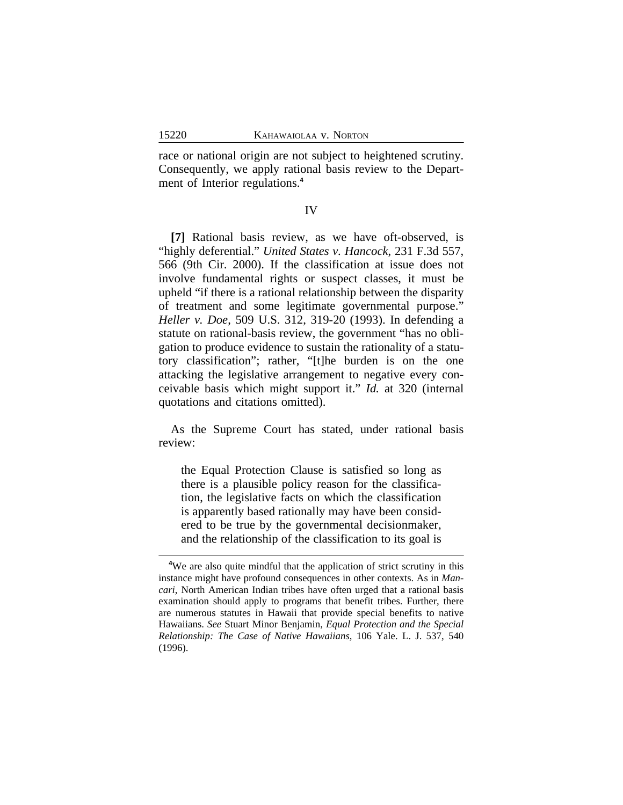race or national origin are not subject to heightened scrutiny. Consequently, we apply rational basis review to the Department of Interior regulations.**<sup>4</sup>**

#### IV

**[7]** Rational basis review, as we have oft-observed, is "highly deferential." *United States v. Hancock*, 231 F.3d 557, 566 (9th Cir. 2000). If the classification at issue does not involve fundamental rights or suspect classes, it must be upheld "if there is a rational relationship between the disparity of treatment and some legitimate governmental purpose." *Heller v. Doe*, 509 U.S. 312, 319-20 (1993). In defending a statute on rational-basis review, the government "has no obligation to produce evidence to sustain the rationality of a statutory classification"; rather, "[t]he burden is on the one attacking the legislative arrangement to negative every conceivable basis which might support it." *Id.* at 320 (internal quotations and citations omitted).

As the Supreme Court has stated, under rational basis review:

the Equal Protection Clause is satisfied so long as there is a plausible policy reason for the classification, the legislative facts on which the classification is apparently based rationally may have been considered to be true by the governmental decisionmaker, and the relationship of the classification to its goal is

<sup>&</sup>lt;sup>4</sup>We are also quite mindful that the application of strict scrutiny in this instance might have profound consequences in other contexts. As in *Mancari*, North American Indian tribes have often urged that a rational basis examination should apply to programs that benefit tribes. Further, there are numerous statutes in Hawaii that provide special benefits to native Hawaiians. *See* Stuart Minor Benjamin, *Equal Protection and the Special Relationship: The Case of Native Hawaiians*, 106 Yale. L. J. 537, 540 (1996).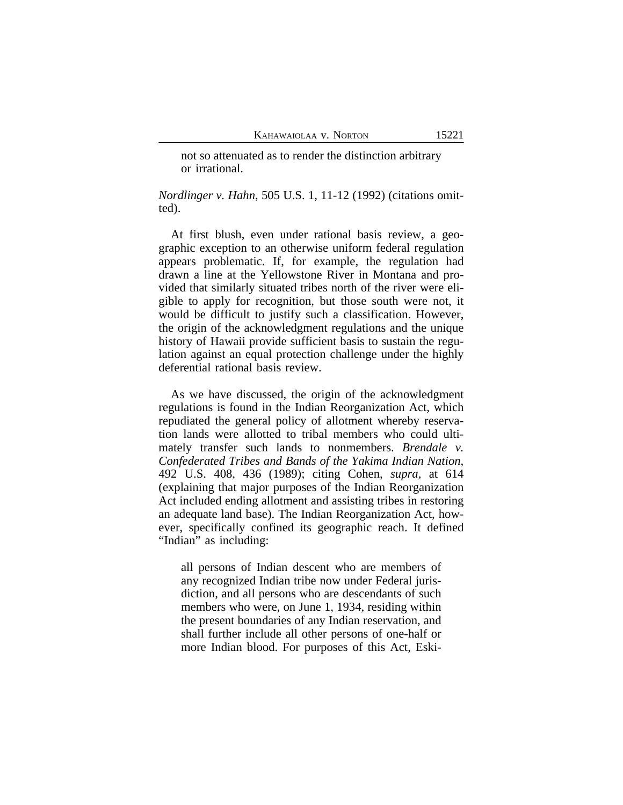not so attenuated as to render the distinction arbitrary or irrational.

*Nordlinger v. Hahn*, 505 U.S. 1, 11-12 (1992) (citations omitted).

At first blush, even under rational basis review, a geographic exception to an otherwise uniform federal regulation appears problematic. If, for example, the regulation had drawn a line at the Yellowstone River in Montana and provided that similarly situated tribes north of the river were eligible to apply for recognition, but those south were not, it would be difficult to justify such a classification. However, the origin of the acknowledgment regulations and the unique history of Hawaii provide sufficient basis to sustain the regulation against an equal protection challenge under the highly deferential rational basis review.

As we have discussed, the origin of the acknowledgment regulations is found in the Indian Reorganization Act, which repudiated the general policy of allotment whereby reservation lands were allotted to tribal members who could ultimately transfer such lands to nonmembers. *Brendale v. Confederated Tribes and Bands of the Yakima Indian Nation*, 492 U.S. 408, 436 (1989); citing Cohen, *supra*, at 614 (explaining that major purposes of the Indian Reorganization Act included ending allotment and assisting tribes in restoring an adequate land base). The Indian Reorganization Act, however, specifically confined its geographic reach. It defined "Indian" as including:

all persons of Indian descent who are members of any recognized Indian tribe now under Federal jurisdiction, and all persons who are descendants of such members who were, on June 1, 1934, residing within the present boundaries of any Indian reservation, and shall further include all other persons of one-half or more Indian blood. For purposes of this Act, Eski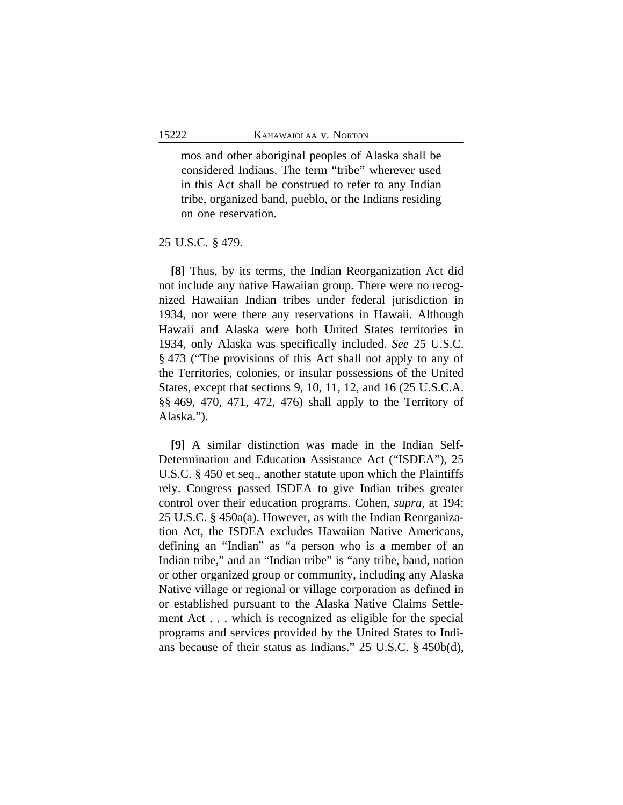mos and other aboriginal peoples of Alaska shall be considered Indians. The term "tribe" wherever used in this Act shall be construed to refer to any Indian tribe, organized band, pueblo, or the Indians residing on one reservation.

### 25 U.S.C. § 479.

**[8]** Thus, by its terms, the Indian Reorganization Act did not include any native Hawaiian group. There were no recognized Hawaiian Indian tribes under federal jurisdiction in 1934, nor were there any reservations in Hawaii. Although Hawaii and Alaska were both United States territories in 1934, only Alaska was specifically included. *See* 25 U.S.C. § 473 ("The provisions of this Act shall not apply to any of the Territories, colonies, or insular possessions of the United States, except that sections 9, 10, 11, 12, and 16 (25 U.S.C.A. §§ 469, 470, 471, 472, 476) shall apply to the Territory of Alaska.").

**[9]** A similar distinction was made in the Indian Self-Determination and Education Assistance Act ("ISDEA"), 25 U.S.C. § 450 et seq., another statute upon which the Plaintiffs rely. Congress passed ISDEA to give Indian tribes greater control over their education programs. Cohen, *supra*, at 194; 25 U.S.C. § 450a(a). However, as with the Indian Reorganization Act, the ISDEA excludes Hawaiian Native Americans, defining an "Indian" as "a person who is a member of an Indian tribe," and an "Indian tribe" is "any tribe, band, nation or other organized group or community, including any Alaska Native village or regional or village corporation as defined in or established pursuant to the Alaska Native Claims Settlement Act . . . which is recognized as eligible for the special programs and services provided by the United States to Indians because of their status as Indians." 25 U.S.C. § 450b(d),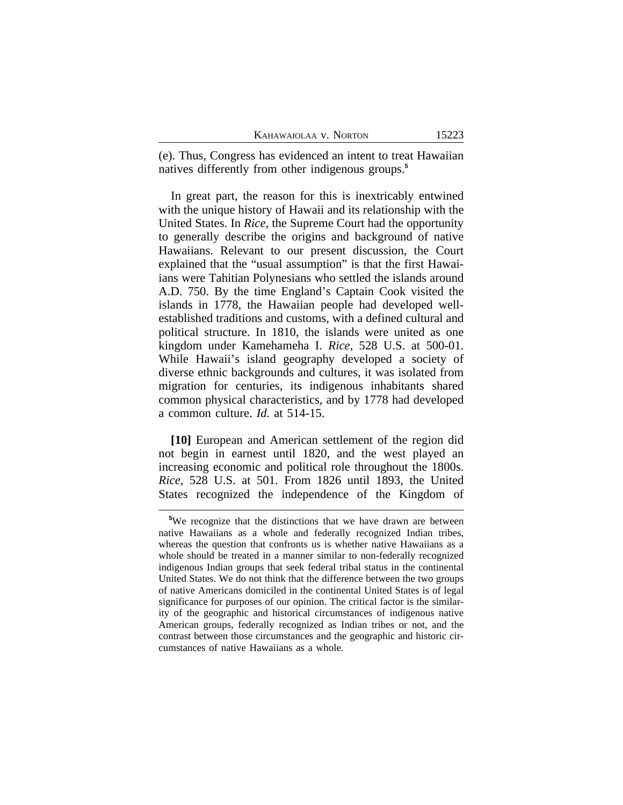| Kahawaiolaa v. Norton |  |  |  |
|-----------------------|--|--|--|
|-----------------------|--|--|--|

(e). Thus, Congress has evidenced an intent to treat Hawaiian natives differently from other indigenous groups.**<sup>5</sup>**

In great part, the reason for this is inextricably entwined with the unique history of Hawaii and its relationship with the United States. In *Rice*, the Supreme Court had the opportunity to generally describe the origins and background of native Hawaiians. Relevant to our present discussion, the Court explained that the "usual assumption" is that the first Hawaiians were Tahitian Polynesians who settled the islands around A.D. 750. By the time England's Captain Cook visited the islands in 1778, the Hawaiian people had developed wellestablished traditions and customs, with a defined cultural and political structure. In 1810, the islands were united as one kingdom under Kamehameha I. *Rice*, 528 U.S. at 500-01. While Hawaii's island geography developed a society of diverse ethnic backgrounds and cultures, it was isolated from migration for centuries, its indigenous inhabitants shared common physical characteristics, and by 1778 had developed a common culture. *Id*. at 514-15.

**[10]** European and American settlement of the region did not begin in earnest until 1820, and the west played an increasing economic and political role throughout the 1800s. *Rice*, 528 U.S. at 501. From 1826 until 1893, the United States recognized the independence of the Kingdom of

**<sup>5</sup>**We recognize that the distinctions that we have drawn are between native Hawaiians as a whole and federally recognized Indian tribes, whereas the question that confronts us is whether native Hawaiians as a whole should be treated in a manner similar to non-federally recognized indigenous Indian groups that seek federal tribal status in the continental United States. We do not think that the difference between the two groups of native Americans domiciled in the continental United States is of legal significance for purposes of our opinion. The critical factor is the similarity of the geographic and historical circumstances of indigenous native American groups, federally recognized as Indian tribes or not, and the contrast between those circumstances and the geographic and historic circumstances of native Hawaiians as a whole.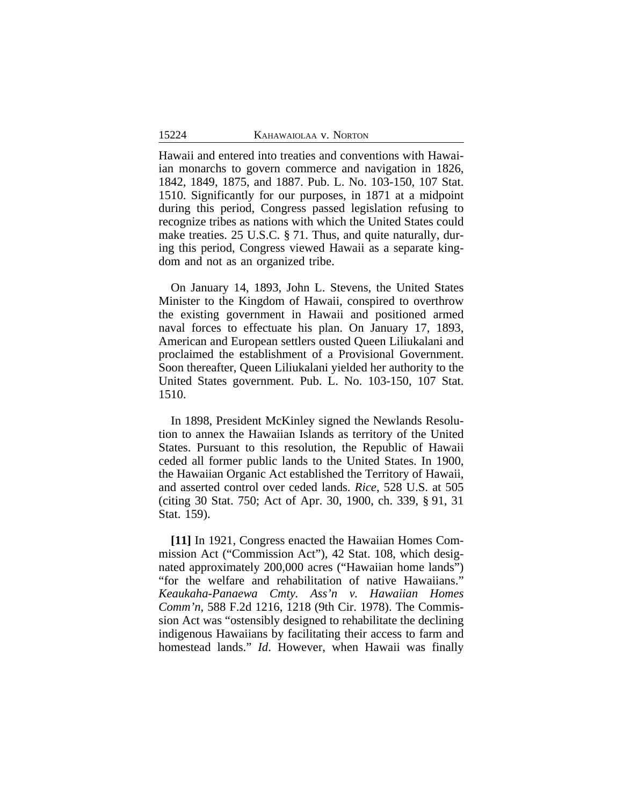Hawaii and entered into treaties and conventions with Hawaiian monarchs to govern commerce and navigation in 1826, 1842, 1849, 1875, and 1887. Pub. L. No. 103-150, 107 Stat. 1510. Significantly for our purposes, in 1871 at a midpoint during this period, Congress passed legislation refusing to recognize tribes as nations with which the United States could make treaties. 25 U.S.C. § 71. Thus, and quite naturally, during this period, Congress viewed Hawaii as a separate kingdom and not as an organized tribe.

On January 14, 1893, John L. Stevens, the United States Minister to the Kingdom of Hawaii, conspired to overthrow the existing government in Hawaii and positioned armed naval forces to effectuate his plan. On January 17, 1893, American and European settlers ousted Queen Liliukalani and proclaimed the establishment of a Provisional Government. Soon thereafter, Queen Liliukalani yielded her authority to the United States government. Pub. L. No. 103-150, 107 Stat. 1510.

In 1898, President McKinley signed the Newlands Resolution to annex the Hawaiian Islands as territory of the United States. Pursuant to this resolution, the Republic of Hawaii ceded all former public lands to the United States. In 1900, the Hawaiian Organic Act established the Territory of Hawaii, and asserted control over ceded lands. *Rice*, 528 U.S. at 505 (citing 30 Stat. 750; Act of Apr. 30, 1900, ch. 339, § 91, 31 Stat. 159).

**[11]** In 1921, Congress enacted the Hawaiian Homes Commission Act ("Commission Act"), 42 Stat. 108, which designated approximately 200,000 acres ("Hawaiian home lands") "for the welfare and rehabilitation of native Hawaiians." *Keaukaha-Panaewa Cmty. Ass'n v. Hawaiian Homes Comm'n*, 588 F.2d 1216, 1218 (9th Cir. 1978). The Commission Act was "ostensibly designed to rehabilitate the declining indigenous Hawaiians by facilitating their access to farm and homestead lands." *Id*. However, when Hawaii was finally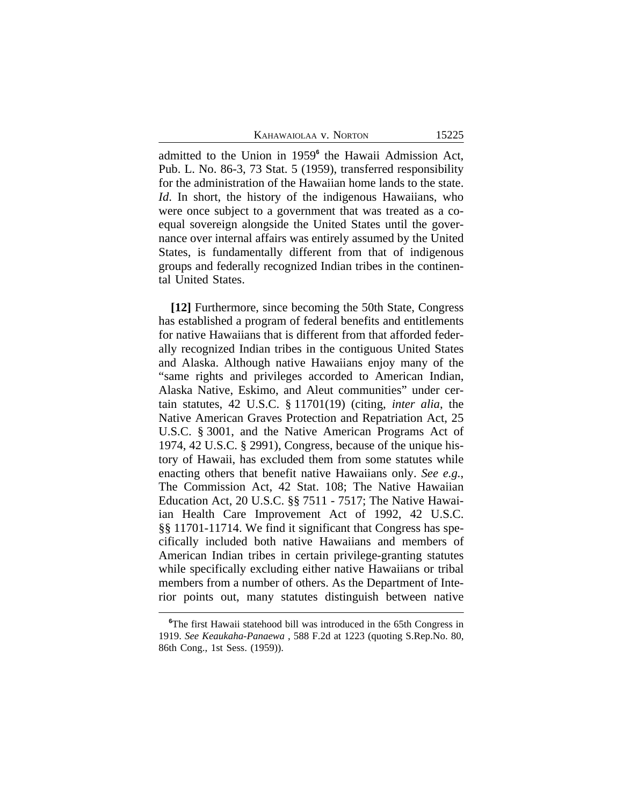admitted to the Union in 1959**<sup>6</sup>** the Hawaii Admission Act, Pub. L. No. 86-3, 73 Stat. 5 (1959), transferred responsibility for the administration of the Hawaiian home lands to the state. *Id*. In short, the history of the indigenous Hawaiians, who were once subject to a government that was treated as a coequal sovereign alongside the United States until the governance over internal affairs was entirely assumed by the United States, is fundamentally different from that of indigenous groups and federally recognized Indian tribes in the continental United States.

**[12]** Furthermore, since becoming the 50th State, Congress has established a program of federal benefits and entitlements for native Hawaiians that is different from that afforded federally recognized Indian tribes in the contiguous United States and Alaska. Although native Hawaiians enjoy many of the "same rights and privileges accorded to American Indian, Alaska Native, Eskimo, and Aleut communities" under certain statutes, 42 U.S.C. § 11701(19) (citing, *inter alia*, the Native American Graves Protection and Repatriation Act, 25 U.S.C. § 3001, and the Native American Programs Act of 1974, 42 U.S.C. § 2991), Congress, because of the unique history of Hawaii, has excluded them from some statutes while enacting others that benefit native Hawaiians only. *See e.g.*, The Commission Act, 42 Stat. 108; The Native Hawaiian Education Act, 20 U.S.C. §§ 7511 - 7517; The Native Hawaiian Health Care Improvement Act of 1992, 42 U.S.C. §§ 11701-11714. We find it significant that Congress has specifically included both native Hawaiians and members of American Indian tribes in certain privilege-granting statutes while specifically excluding either native Hawaiians or tribal members from a number of others. As the Department of Interior points out, many statutes distinguish between native

<sup>&</sup>lt;sup>6</sup>The first Hawaii statehood bill was introduced in the 65th Congress in 1919. *See Keaukaha-Panaewa* , 588 F.2d at 1223 (quoting S.Rep.No. 80, 86th Cong., 1st Sess. (1959)).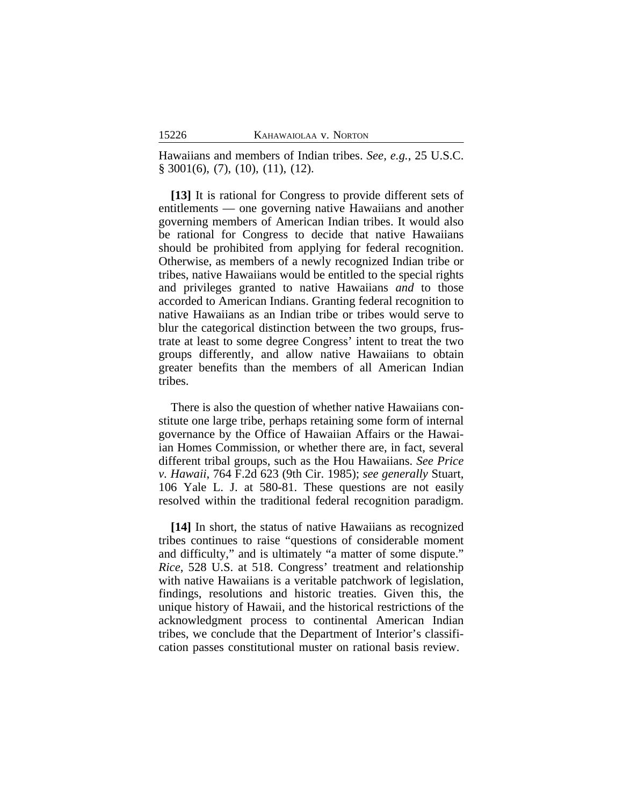Hawaiians and members of Indian tribes. *See, e.g.*, 25 U.S.C. § 3001(6), (7), (10), (11), (12).

**[13]** It is rational for Congress to provide different sets of entitlements — one governing native Hawaiians and another governing members of American Indian tribes. It would also be rational for Congress to decide that native Hawaiians should be prohibited from applying for federal recognition. Otherwise, as members of a newly recognized Indian tribe or tribes, native Hawaiians would be entitled to the special rights and privileges granted to native Hawaiians *and* to those accorded to American Indians. Granting federal recognition to native Hawaiians as an Indian tribe or tribes would serve to blur the categorical distinction between the two groups, frustrate at least to some degree Congress' intent to treat the two groups differently, and allow native Hawaiians to obtain greater benefits than the members of all American Indian tribes.

There is also the question of whether native Hawaiians constitute one large tribe, perhaps retaining some form of internal governance by the Office of Hawaiian Affairs or the Hawaiian Homes Commission, or whether there are, in fact, several different tribal groups, such as the Hou Hawaiians. *See Price v. Hawaii*, 764 F.2d 623 (9th Cir. 1985); *see generally* Stuart, 106 Yale L. J. at 580-81. These questions are not easily resolved within the traditional federal recognition paradigm.

**[14]** In short, the status of native Hawaiians as recognized tribes continues to raise "questions of considerable moment and difficulty," and is ultimately "a matter of some dispute." *Rice*, 528 U.S. at 518. Congress' treatment and relationship with native Hawaiians is a veritable patchwork of legislation, findings, resolutions and historic treaties. Given this, the unique history of Hawaii, and the historical restrictions of the acknowledgment process to continental American Indian tribes, we conclude that the Department of Interior's classification passes constitutional muster on rational basis review.